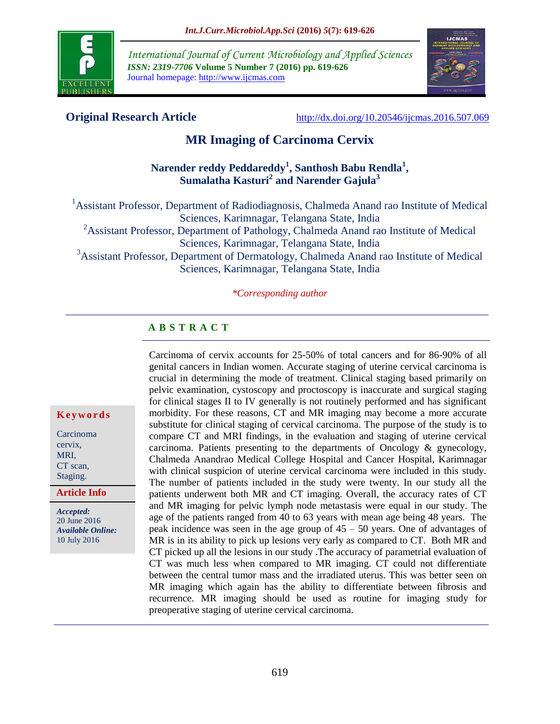

*International Journal of Current Microbiology and Applied Sciences ISSN: 2319-7706* **Volume 5 Number 7 (2016) pp. 619-626** Journal homepage: http://www.ijcmas.com



**Original Research Article** <http://dx.doi.org/10.20546/ijcmas.2016.507.069>

# **MR Imaging of Carcinoma Cervix**

# **Narender reddy Peddareddy<sup>1</sup> , Santhosh Babu Rendla<sup>1</sup> , Sumalatha Kasturi<sup>2</sup> and Narender Gajula<sup>3</sup>**

<sup>1</sup> Assistant Professor, Department of Radiodiagnosis, Chalmeda Anand rao Institute of Medical Sciences, Karimnagar, Telangana State, India <sup>2</sup>Assistant Professor, Department of Pathology, Chalmeda Anand rao Institute of Medical Sciences, Karimnagar, Telangana State, India <sup>3</sup>Assistant Professor, Department of Dermatology, Chalmeda Anand rao Institute of Medical Sciences, Karimnagar, Telangana State, India

*\*Corresponding author*

# **A B S T R A C T**

Carcinoma of cervix accounts for 25-50% of total cancers and for 86-90% of all genital cancers in Indian women. Accurate staging of uterine cervical carcinoma is crucial in determining the mode of treatment. Clinical staging based primarily on pelvic examination, cystoscopy and proctoscopy is inaccurate and surgical staging for clinical stages II to IV generally is not routinely performed and has significant morbidity. For these reasons, CT and MR imaging may become a more accurate substitute for clinical staging of cervical carcinoma. The purpose of the study is to compare CT and MRI findings, in the evaluation and staging of uterine cervical carcinoma. Patients presenting to the departments of Oncology & gynecology, Chalmeda Anandrao Medical College Hospital and Cancer Hospital, Karimnagar with clinical suspicion of uterine cervical carcinoma were included in this study. The number of patients included in the study were twenty. In our study all the patients underwent both MR and CT imaging. Overall, the accuracy rates of CT and MR imaging for pelvic lymph node metastasis were equal in our study. The age of the patients ranged from 40 to 63 years with mean age being 48 years. The peak incidence was seen in the age group of  $45 - 50$  years. One of advantages of MR is in its ability to pick up lesions very early as compared to CT. Both MR and CT picked up all the lesions in our study .The accuracy of parametrial evaluation of CT was much less when compared to MR imaging. CT could not differentiate between the central tumor mass and the irradiated uterus. This was better seen on MR imaging which again has the ability to differentiate between fibrosis and recurrence. MR imaging should be used as routine for imaging study for preoperative staging of uterine cervical carcinoma.

#### **K e y w o r d s**

Carcinoma cervix, MRI, CT scan, Staging.

**Article Info**

*Accepted:*  20 June 2016 *Available Online:* 10 July 2016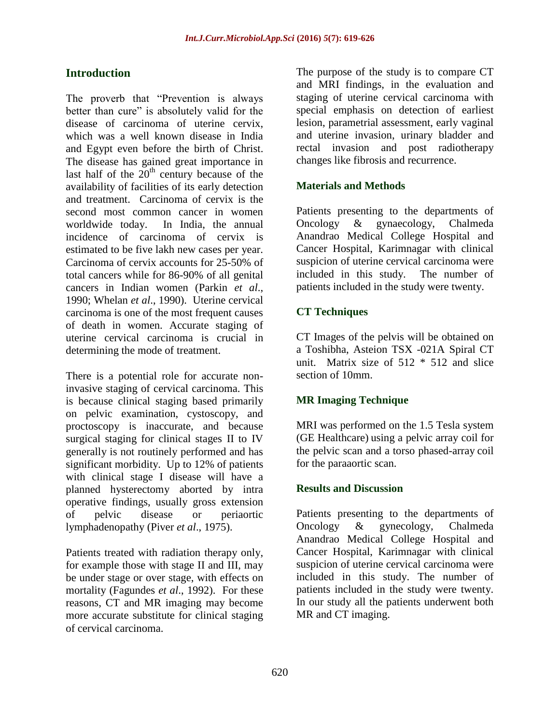# **Introduction**

The proverb that "Prevention is always better than cure" is absolutely valid for the disease of carcinoma of uterine cervix, which was a well known disease in India and Egypt even before the birth of Christ. The disease has gained great importance in last half of the  $20<sup>th</sup>$  century because of the availability of facilities of its early detection and treatment. Carcinoma of cervix is the second most common cancer in women worldwide today. In India, the annual incidence of carcinoma of cervix is estimated to be five lakh new cases per year. Carcinoma of cervix accounts for 25-50% of total cancers while for 86-90% of all genital cancers in Indian women (Parkin *et al*., 1990; Whelan *et al*., 1990). Uterine cervical carcinoma is one of the most frequent causes of death in women. Accurate staging of uterine cervical carcinoma is crucial in determining the mode of treatment.

There is a potential role for accurate noninvasive staging of cervical carcinoma. This is because clinical staging based primarily on pelvic examination, cystoscopy, and proctoscopy is inaccurate, and because surgical staging for clinical stages II to IV generally is not routinely performed and has significant morbidity. Up to 12% of patients with clinical stage I disease will have a planned hysterectomy aborted by intra operative findings, usually gross extension of pelvic disease or periaortic lymphadenopathy (Piver *et al*., 1975).

Patients treated with radiation therapy only, for example those with stage II and III, may be under stage or over stage, with effects on mortality (Fagundes *et al*., 1992). For these reasons, CT and MR imaging may become more accurate substitute for clinical staging of cervical carcinoma.

The purpose of the study is to compare CT and MRI findings, in the evaluation and staging of uterine cervical carcinoma with special emphasis on detection of earliest lesion, parametrial assessment, early vaginal and uterine invasion, urinary bladder and rectal invasion and post radiotherapy changes like fibrosis and recurrence.

# **Materials and Methods**

Patients presenting to the departments of Oncology & gynaecology, Chalmeda Anandrao Medical College Hospital and Cancer Hospital, Karimnagar with clinical suspicion of uterine cervical carcinoma were included in this study. The number of patients included in the study were twenty.

# **CT Techniques**

CT Images of the pelvis will be obtained on a Toshibha, Asteion TSX -021A Spiral CT unit. Matrix size of  $512 * 512$  and slice section of 10mm.

# **MR Imaging Technique**

MRI was performed on the 1.5 Tesla system (GE Healthcare) using a pelvic array coil for the pelvic scan and a torso phased-array coil for the paraaortic scan.

#### **Results and Discussion**

Patients presenting to the departments of Oncology & gynecology, Chalmeda Anandrao Medical College Hospital and Cancer Hospital, Karimnagar with clinical suspicion of uterine cervical carcinoma were included in this study. The number of patients included in the study were twenty. In our study all the patients underwent both MR and CT imaging.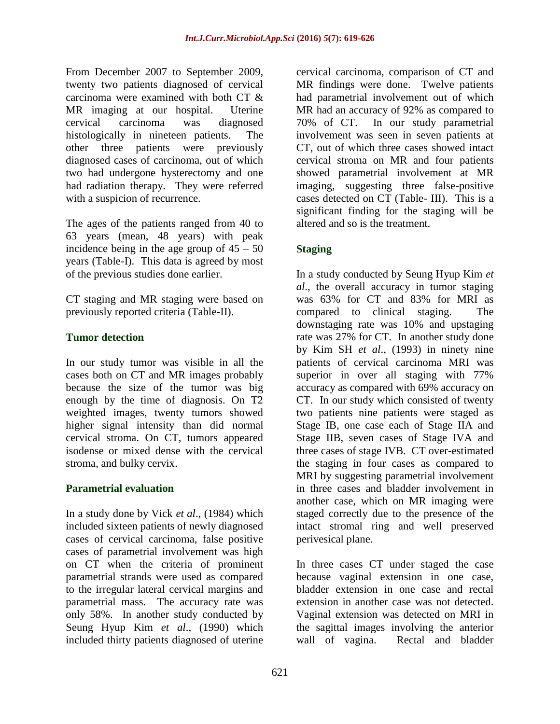From December 2007 to September 2009, twenty two patients diagnosed of cervical carcinoma were examined with both CT & MR imaging at our hospital. Uterine cervical carcinoma was diagnosed histologically in nineteen patients. The other three patients were previously diagnosed cases of carcinoma, out of which two had undergone hysterectomy and one had radiation therapy. They were referred with a suspicion of recurrence.

The ages of the patients ranged from 40 to 63 years (mean, 48 years) with peak incidence being in the age group of  $45 - 50$ years (Table-I). This data is agreed by most of the previous studies done earlier.

CT staging and MR staging were based on previously reported criteria (Table-II).

# **Tumor detection**

In our study tumor was visible in all the cases both on CT and MR images probably because the size of the tumor was big enough by the time of diagnosis. On T2 weighted images, twenty tumors showed higher signal intensity than did normal cervical stroma. On CT, tumors appeared isodense or mixed dense with the cervical stroma, and bulky cervix.

# **Parametrial evaluation**

In a study done by Vick *et al*., (1984) which included sixteen patients of newly diagnosed cases of cervical carcinoma, false positive cases of parametrial involvement was high on CT when the criteria of prominent parametrial strands were used as compared to the irregular lateral cervical margins and parametrial mass. The accuracy rate was only 58%. In another study conducted by Seung Hyup Kim *et al*., (1990) which included thirty patients diagnosed of uterine

cervical carcinoma, comparison of CT and MR findings were done. Twelve patients had parametrial involvement out of which MR had an accuracy of 92% as compared to 70% of CT. In our study parametrial involvement was seen in seven patients at CT, out of which three cases showed intact cervical stroma on MR and four patients showed parametrial involvement at MR imaging, suggesting three false-positive cases detected on CT (Table- III). This is a significant finding for the staging will be altered and so is the treatment.

# **Staging**

In a study conducted by Seung Hyup Kim *et al*., the overall accuracy in tumor staging was 63% for CT and 83% for MRI as compared to clinical staging. The downstaging rate was 10% and upstaging rate was 27% for CT. In another study done by Kim SH *et al*., (1993) in ninety nine patients of cervical carcinoma MRI was superior in over all staging with 77% accuracy as compared with 69% accuracy on CT. In our study which consisted of twenty two patients nine patients were staged as Stage IB, one case each of Stage IIA and Stage IIB, seven cases of Stage IVA and three cases of stage IVB. CT over-estimated the staging in four cases as compared to MRI by suggesting parametrial involvement in three cases and bladder involvement in another case, which on MR imaging were staged correctly due to the presence of the intact stromal ring and well preserved perivesical plane.

In three cases CT under staged the case because vaginal extension in one case, bladder extension in one case and rectal extension in another case was not detected. Vaginal extension was detected on MRI in the sagittal images involving the anterior wall of vagina. Rectal and bladder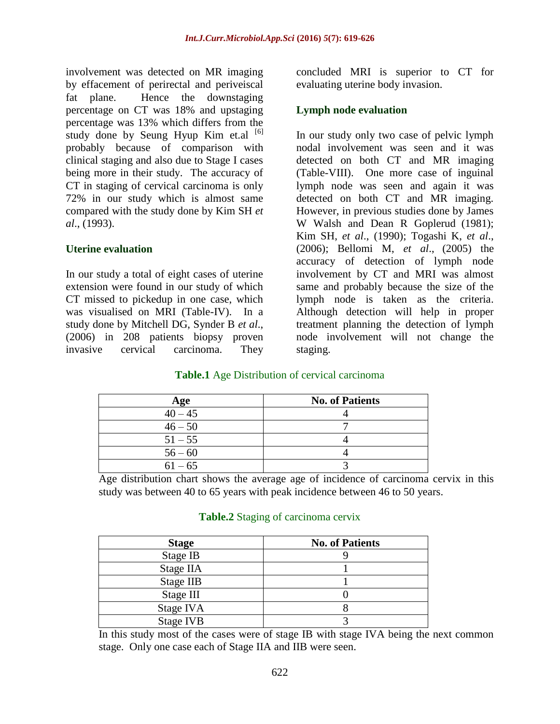involvement was detected on MR imaging by effacement of perirectal and periveiscal fat plane. Hence the downstaging percentage on CT was 18% and upstaging percentage was 13% which differs from the study done by Seung Hyup Kim et.al  $[6]$ probably because of comparison with clinical staging and also due to Stage I cases being more in their study. The accuracy of CT in staging of cervical carcinoma is only 72% in our study which is almost same compared with the study done by Kim SH *et al*., (1993).

## **Uterine evaluation**

In our study a total of eight cases of uterine extension were found in our study of which CT missed to pickedup in one case, which was visualised on MRI (Table-IV). In a study done by Mitchell DG, Synder B *et al*., (2006) in 208 patients biopsy proven invasive cervical carcinoma. They

concluded MRI is superior to CT for evaluating uterine body invasion.

## **Lymph node evaluation**

In our study only two case of pelvic lymph nodal involvement was seen and it was detected on both CT and MR imaging (Table-VIII). One more case of inguinal lymph node was seen and again it was detected on both CT and MR imaging. However, in previous studies done by James W Walsh and Dean R Goplerud (1981); Kim SH, *et al*., (1990); Togashi K, *et al*., (2006); Bellomi M, *et al*., (2005) the accuracy of detection of lymph node involvement by CT and MRI was almost same and probably because the size of the lymph node is taken as the criteria. Although detection will help in proper treatment planning the detection of lymph node involvement will not change the staging.

# **Table.1** Age Distribution of cervical carcinoma

| Age       | <b>No. of Patients</b> |
|-----------|------------------------|
| $40 - 45$ |                        |
| $46 - 50$ |                        |
| $51 - 55$ |                        |
| $56 - 60$ |                        |
| $61 - 65$ |                        |

Age distribution chart shows the average age of incidence of carcinoma cervix in this study was between 40 to 65 years with peak incidence between 46 to 50 years.

| <b>Stage</b> | <b>No. of Patients</b> |
|--------------|------------------------|
| Stage IB     |                        |
| Stage IIA    |                        |
| Stage IIB    |                        |
| Stage III    |                        |
| Stage IVA    |                        |
| Stage IVB    |                        |

#### **Table.2** Staging of carcinoma cervix

In this study most of the cases were of stage IB with stage IVA being the next common stage. Only one case each of Stage IIA and IIB were seen.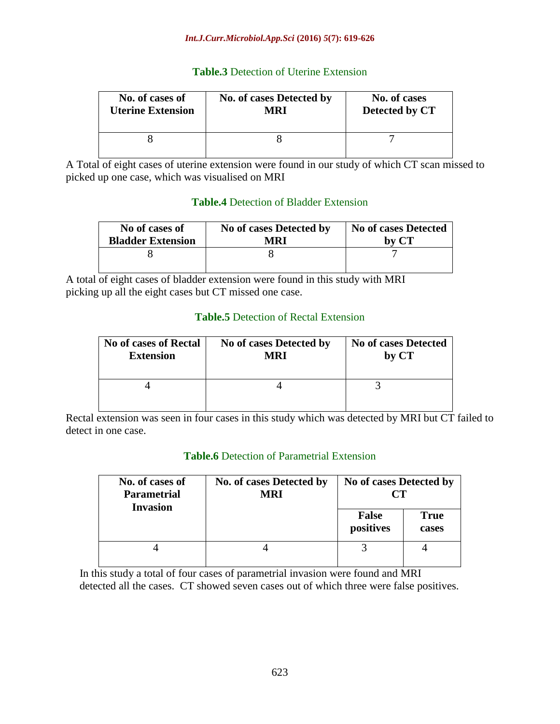#### *Int.J.Curr.Microbiol.App.Sci* **(2016)** *5***(7): 619-626**

### **Table.3** Detection of Uterine Extension

| No. of cases of          | No. of cases Detected by | No. of cases   |
|--------------------------|--------------------------|----------------|
| <b>Uterine Extension</b> | MRI                      | Detected by CT |
|                          |                          |                |

A Total of eight cases of uterine extension were found in our study of which CT scan missed to picked up one case, which was visualised on MRI

# **Table.4** Detection of Bladder Extension

| No of cases of           | No of cases Detected by | <b>No of cases Detected</b> |
|--------------------------|-------------------------|-----------------------------|
| <b>Bladder Extension</b> | MRI                     | by CT                       |
|                          |                         |                             |

A total of eight cases of bladder extension were found in this study with MRI picking up all the eight cases but CT missed one case.

## **Table.5** Detection of Rectal Extension

| <b>No of cases of Rectal</b> | No of cases Detected by | <b>No of cases Detected</b> |
|------------------------------|-------------------------|-----------------------------|
| <b>Extension</b>             | <b>MRI</b>              | by CT                       |
|                              |                         |                             |

Rectal extension was seen in four cases in this study which was detected by MRI but CT failed to detect in one case.

#### **Table.6** Detection of Parametrial Extension

| No. of cases of<br><b>Parametrial</b><br><b>Invasion</b> | No. of cases Detected by<br><b>MRI</b> | No of cases Detected by<br>CТ |                      |
|----------------------------------------------------------|----------------------------------------|-------------------------------|----------------------|
|                                                          |                                        | <b>False</b><br>positives     | <b>True</b><br>cases |
|                                                          |                                        |                               |                      |

 In this study a total of four cases of parametrial invasion were found and MRI detected all the cases. CT showed seven cases out of which three were false positives.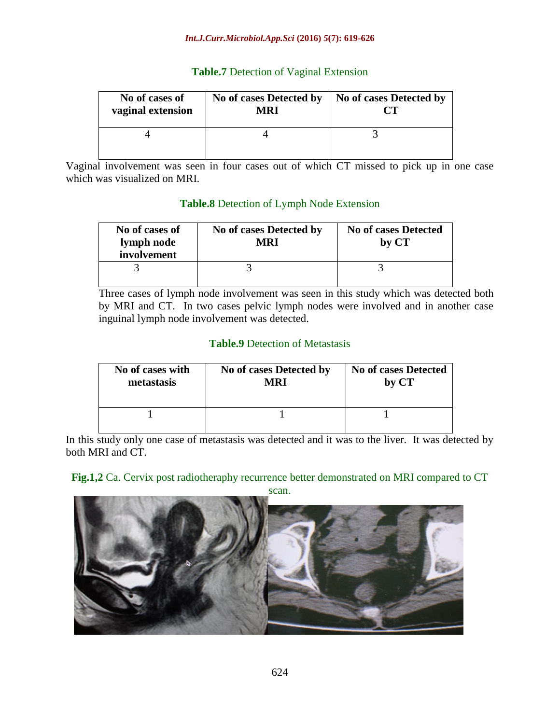#### *Int.J.Curr.Microbiol.App.Sci* **(2016)** *5***(7): 619-626**

### **Table.7** Detection of Vaginal Extension

| No of cases of<br>vaginal extension | No of cases Detected by<br>MRI | No of cases Detected by |
|-------------------------------------|--------------------------------|-------------------------|
|                                     |                                |                         |

Vaginal involvement was seen in four cases out of which CT missed to pick up in one case which was visualized on MRI.

## **Table.8** Detection of Lymph Node Extension

| No of cases of<br>lymph node<br>involvement | No of cases Detected by<br>MRI | <b>No of cases Detected</b><br>by CT |
|---------------------------------------------|--------------------------------|--------------------------------------|
|                                             |                                |                                      |

Three cases of lymph node involvement was seen in this study which was detected both by MRI and CT. In two cases pelvic lymph nodes were involved and in another case inguinal lymph node involvement was detected.

## **Table.9** Detection of Metastasis

| No of cases with | No of cases Detected by | <b>No of cases Detected</b> |
|------------------|-------------------------|-----------------------------|
| metastasis       | MRI                     | by CT                       |
|                  |                         |                             |

In this study only one case of metastasis was detected and it was to the liver. It was detected by both MRI and CT.

#### **Fig.1,2** Ca. Cervix post radiotheraphy recurrence better demonstrated on MRI compared to CT

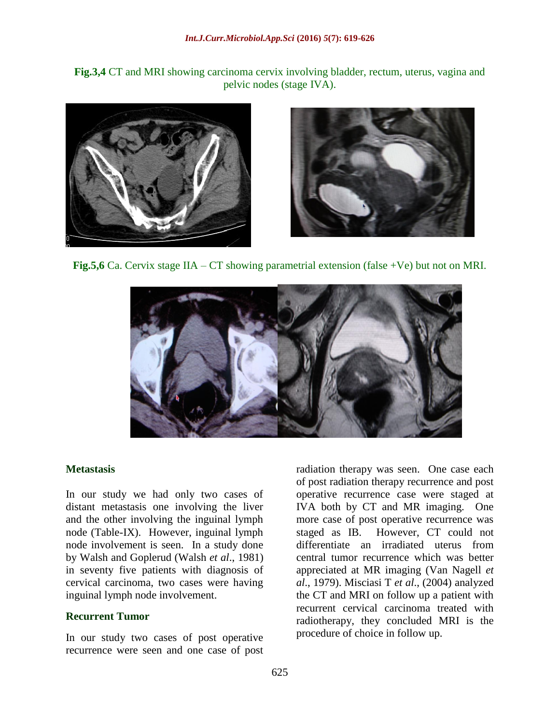**Fig.3,4** CT and MRI showing carcinoma cervix involving bladder, rectum, uterus, vagina and pelvic nodes (stage IVA).





**Fig.5,6** Ca. Cervix stage IIA – CT showing parametrial extension (false +Ve) but not on MRI.



#### **Metastasis**

In our study we had only two cases of distant metastasis one involving the liver and the other involving the inguinal lymph node (Table-IX). However, inguinal lymph node involvement is seen. In a study done by Walsh and Goplerud (Walsh *et al*., 1981) in seventy five patients with diagnosis of cervical carcinoma, two cases were having inguinal lymph node involvement.

#### **Recurrent Tumor**

In our study two cases of post operative recurrence were seen and one case of post

radiation therapy was seen. One case each of post radiation therapy recurrence and post operative recurrence case were staged at IVA both by CT and MR imaging. One more case of post operative recurrence was staged as IB. However, CT could not differentiate an irradiated uterus from central tumor recurrence which was better appreciated at MR imaging (Van Nagell *et al*., 1979). Misciasi T *et al*., (2004) analyzed the CT and MRI on follow up a patient with recurrent cervical carcinoma treated with radiotherapy, they concluded MRI is the procedure of choice in follow up.